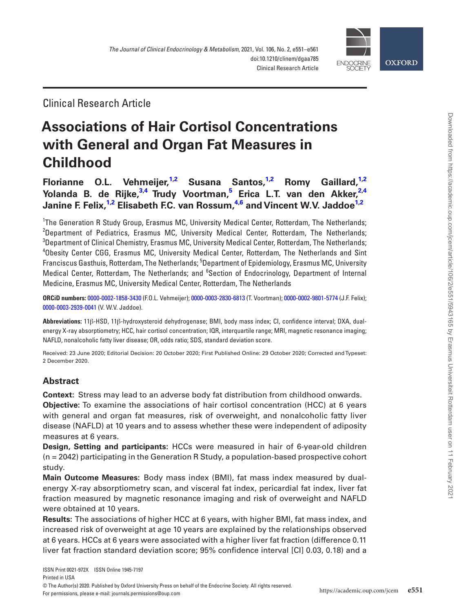

Clinical Research Article

# **Associations of Hair Cortisol Concentrations with General and Organ Fat Measures in Childhood**

**Florianne O.L. Vehmeijer[,1](#page-0-0),[2](#page-0-1) Susana Santos[,1](#page-0-0),[2](#page-0-1) Romy Gaillard,[1](#page-0-0)[,2](#page-0-1) Yolanda B. de Rijke,[3](#page-0-2)[,4](#page-0-3) [Trudy Voortman](http://orcid.org/0000-0003-2830-6813),[5](#page-0-4) Erica L.T. van den Akker,[2](#page-0-1)[,4](#page-0-3) Janine F. Felix,[1](#page-0-0)[,2](#page-0-1) Elisabeth F.C. van Rossum,[4](#page-0-3)[,6](#page-0-5) and [Vincent W.V. Jaddoe](http://orcid.org/0000-0003-2939-0041)[1,](#page-0-0)[2](#page-0-1)**

<span id="page-0-3"></span><span id="page-0-2"></span><span id="page-0-1"></span><span id="page-0-0"></span><sup>1</sup>The Generation R Study Group, Erasmus MC, University Medical Center, Rotterdam, The Netherlands; <sup>2</sup>Department of Pediatrics, Erasmus MC, University Medical Center, Rotterdam, The Netherlands;  $^3$ Department of Clinical Chemistry, Erasmus MC, University Medical Center, Rotterdam, The Netherlands; 4 Obesity Center CGG, Erasmus MC, University Medical Center, Rotterdam, The Netherlands and Sint Franciscus Gasthuis, Rotterdam, The Netherlands; <sup>5</sup>Department of Epidemiology, Erasmus MC, University Medical Center, Rotterdam, The Netherlands; and <sup>6</sup>Section of Endocrinology, Department of Internal Medicine, Erasmus MC, University Medical Center, Rotterdam, The Netherlands

<span id="page-0-5"></span><span id="page-0-4"></span>**ORCiD numbers:** [0000-0002-1858-3430](http://orcid.org/0000-0002-1858-3430) (F.O.L. Vehmeijer); [0000-0003-2830-6813](http://orcid.org/0000-0003-2830-6813) (T. Voortman); [0000-0002-9801-5774](http://orcid.org/0000-0002-9801-5774) (J.F. Felix); [0000-0003-2939-0041](http://orcid.org/0000-0003-2939-0041) (V. W.V. Jaddoe).

**Abbreviations:** 11β-HSD, 11β-hydroxysteroid dehydrogenase; BMI, body mass index; CI, confidence interval; DXA, dualenergy X-ray absorptiometry; HCC, hair cortisol concentration; IQR, interquartile range; MRI, magnetic resonance imaging; NAFLD, nonalcoholic fatty liver disease; OR, odds ratio; SDS, standard deviation score.

Received: 23 June 2020; Editorial Decision: 20 October 2020; First Published Online: 29 October 2020; Corrected and Typeset: 2 December 2020.

## **Abstract**

**Context:** Stress may lead to an adverse body fat distribution from childhood onwards.

**Objective:** To examine the associations of hair cortisol concentration (HCC) at 6 years with general and organ fat measures, risk of overweight, and nonalcoholic fatty liver disease (NAFLD) at 10 years and to assess whether these were independent of adiposity measures at 6 years.

**Design, Setting and participants:** HCCs were measured in hair of 6-year-old children (n = 2042) participating in the Generation R Study, a population-based prospective cohort study.

**Main Outcome Measures:** Body mass index (BMI), fat mass index measured by dualenergy X-ray absorptiometry scan, and visceral fat index, pericardial fat index, liver fat fraction measured by magnetic resonance imaging and risk of overweight and NAFLD were obtained at 10 years.

**Results:** The associations of higher HCC at 6 years, with higher BMI, fat mass index, and increased risk of overweight at age 10 years are explained by the relationships observed at 6 years. HCCs at 6 years were associated with a higher liver fat fraction (difference 0.11 liver fat fraction standard deviation score; 95% confidence interval [CI] 0.03, 0.18) and a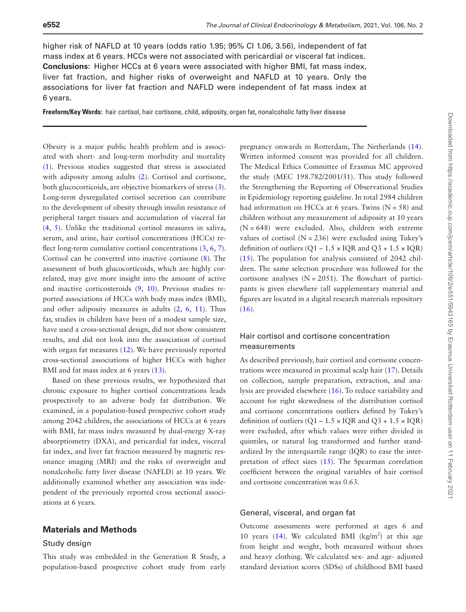higher risk of NAFLD at 10 years (odds ratio 1.95; 95% CI 1.06, 3.56), independent of fat mass index at 6 years. HCCs were not associated with pericardial or visceral fat indices. **Conclusions:** Higher HCCs at 6 years were associated with higher BMI, fat mass index, liver fat fraction, and higher risks of overweight and NAFLD at 10 years. Only the associations for liver fat fraction and NAFLD were independent of fat mass index at 6 years.

**Freeform/Key Words:** hair cortisol, hair cortisone, child, adiposity, organ fat, nonalcoholic fatty liver disease

Obesity is a major public health problem and is associated with short- and long-term morbidity and mortality ([1\)](#page-9-0). Previous studies suggested that stress is associated with adiposity among adults ([2](#page-9-1)). Cortisol and cortisone, both glucocorticoids, are objective biomarkers of stress [\(3](#page-9-2)). Long-term dysregulated cortisol secretion can contribute to the development of obesity through insulin resistance of peripheral target tissues and accumulation of visceral fat ([4,](#page-9-3) [5](#page-9-4)). Unlike the traditional cortisol measures in saliva, serum, and urine, hair cortisol concentrations (HCCs) reflect long-term cumulative cortisol concentrations  $(3, 6, 7)$  $(3, 6, 7)$  $(3, 6, 7)$  $(3, 6, 7)$  $(3, 6, 7)$  $(3, 6, 7)$ . Cortisol can be converted into inactive cortisone ([8\)](#page-9-7). The assessment of both glucocorticoids, which are highly correlated, may give more insight into the amount of active and inactive corticosteroids ([9,](#page-9-8) [10\)](#page-9-9). Previous studies reported associations of HCCs with body mass index (BMI), and other adiposity measures in adults  $(2, 6, 11)$  $(2, 6, 11)$  $(2, 6, 11)$  $(2, 6, 11)$  $(2, 6, 11)$  $(2, 6, 11)$ . Thus far, studies in children have been of a modest sample size, have used a cross-sectional design, did not show consistent results, and did not look into the association of cortisol with organ fat measures ([12\)](#page-9-11). We have previously reported cross-sectional associations of higher HCCs with higher BMI and fat mass index at 6 years ([13](#page-9-12)).

Based on these previous results, we hypothesized that chronic exposure to higher cortisol concentrations leads prospectively to an adverse body fat distribution. We examined, in a population-based prospective cohort study among 2042 children, the associations of HCCs at 6 years with BMI, fat mass index measured by dual-energy X-ray absorptiometry (DXA), and pericardial fat index, visceral fat index, and liver fat fraction measured by magnetic resonance imaging (MRI) and the risks of overweight and nonalcoholic fatty liver disease (NAFLD) at 10 years. We additionally examined whether any association was independent of the previously reported cross sectional associations at 6 years.

## **Materials and Methods**

#### Study design

This study was embedded in the Generation R Study, a population-based prospective cohort study from early

pregnancy onwards in Rotterdam, The Netherlands [\(14](#page-9-13)). Written informed consent was provided for all children. The Medical Ethics Committee of Erasmus MC approved the study (MEC 198.782/2001/31). This study followed the Strengthening the Reporting of Observational Studies in Epidemiology reporting guideline. In total 2984 children had information on HCCs at 6 years. Twins  $(N = 58)$  and children without any measurement of adiposity at 10 years  $(N = 648)$  were excluded. Also, children with extreme values of cortisol  $(N = 236)$  were excluded using Tukey's definition of outliers  $(Q1 – 1.5 \times IQR$  and  $Q3 + 1.5 \times IQR)$ ([15](#page-9-14)). The population for analysis consisted of 2042 children. The same selection procedure was followed for the cortisone analyses  $(N = 2051)$ . The flowchart of participants is given elsewhere (all supplementary material and figures are located in a digital research materials repository  $(16).$  $(16).$  $(16).$ 

## Hair cortisol and cortisone concentration measurements

As described previously, hair cortisol and cortisone concentrations were measured in proximal scalp hair ([17](#page-9-16)). Details on collection, sample preparation, extraction, and analysis are provided elsewhere [\(16](#page-9-15)). To reduce variability and account for right skewedness of the distribution cortisol and cortisone concentrations outliers defined by Tukey's definition of outliers  $(Q1 – 1.5 \times IQR$  and  $Q3 + 1.5 \times IQR)$ were excluded, after which values were either divided in quintiles, or natural log transformed and further standardized by the interquartile range (IQR) to ease the interpretation of effect sizes ([15\)](#page-9-14). The Spearman correlation coefficient between the original variables of hair cortisol and cortisone concentration was 0.63.

## General, visceral, and organ fat

Outcome assessments were performed at ages 6 and 10 years [\(14\)](#page-9-13). We calculated BMI ( $\text{kg/m}^2$ ) at this age from height and weight, both measured without shoes and heavy clothing. We calculated sex- and age- adjusted standard deviation scores (SDSs) of childhood BMI based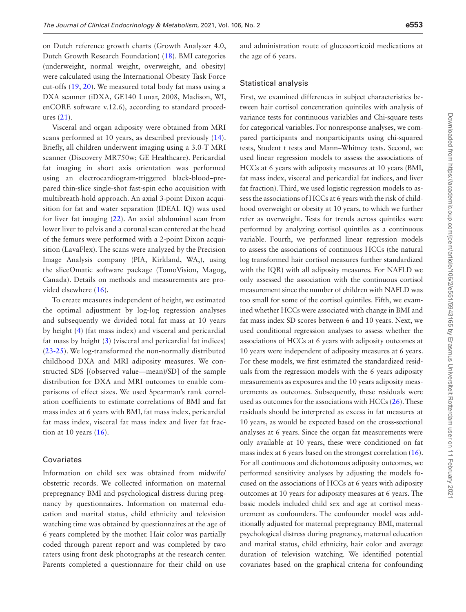on Dutch reference growth charts (Growth Analyzer 4.0, Dutch Growth Research Foundation) [\(18](#page-9-17)). BMI categories (underweight, normal weight, overweight, and obesity) were calculated using the International Obesity Task Force cut-offs ([19](#page-9-18), [20](#page-9-19)). We measured total body fat mass using a DXA scanner (iDXA, GE140 Lunar, 2008, Madison, WI, enCORE software v.12.6), according to standard procedures ([21](#page-9-20)).

Visceral and organ adiposity were obtained from MRI scans performed at 10 years, as described previously [\(14](#page-9-13)). Briefly, all children underwent imaging using a 3.0-T MRI scanner (Discovery MR750w; GE Healthcare). Pericardial fat imaging in short axis orientation was performed using an electrocardiogram-triggered black-blood–prepared thin-slice single-shot fast-spin echo acquisition with multibreath-hold approach. An axial 3-point Dixon acquisition for fat and water separation (IDEAL IQ) was used for liver fat imaging [\(22](#page-9-21)). An axial abdominal scan from lower liver to pelvis and a coronal scan centered at the head of the femurs were performed with a 2-point Dixon acquisition (LavaFlex). The scans were analyzed by the Precision Image Analysis company (PIA, Kirkland, WA,), using the sliceOmatic software package (TomoVision, Magog, Canada). Details on methods and measurements are provided elsewhere ([16](#page-9-15)).

To create measures independent of height, we estimated the optimal adjustment by log-log regression analyses and subsequently we divided total fat mass at 10 years by height [\(4](#page-9-3)) (fat mass index) and visceral and pericardial fat mass by height ([3](#page-9-2)) (visceral and pericardial fat indices) ([23](#page-9-22)[-25\)](#page-9-23). We log-transformed the non-normally distributed childhood DXA and MRI adiposity measures. We constructed SDS [(observed value—mean)/SD] of the sample distribution for DXA and MRI outcomes to enable comparisons of effect sizes. We used Spearman's rank correlation coefficients to estimate correlations of BMI and fat mass index at 6 years with BMI, fat mass index, pericardial fat mass index, visceral fat mass index and liver fat fraction at 10 years  $(16)$ .

#### Covariates

Information on child sex was obtained from midwife/ obstetric records. We collected information on maternal prepregnancy BMI and psychological distress during pregnancy by questionnaires. Information on maternal education and marital status, child ethnicity and television watching time was obtained by questionnaires at the age of 6 years completed by the mother. Hair color was partially coded through parent report and was completed by two raters using front desk photographs at the research center. Parents completed a questionnaire for their child on use and administration route of glucocorticoid medications at the age of 6 years.

#### Statistical analysis

First, we examined differences in subject characteristics between hair cortisol concentration quintiles with analysis of variance tests for continuous variables and Chi-square tests for categorical variables. For nonresponse analyses, we compared participants and nonparticipants using chi-squared tests, Student t tests and Mann–Whitney tests. Second, we used linear regression models to assess the associations of HCCs at 6 years with adiposity measures at 10 years (BMI, fat mass index, visceral and pericardial fat indices, and liver fat fraction). Third, we used logistic regression models to assess the associations of HCCs at 6 years with the risk of childhood overweight or obesity at 10 years, to which we further refer as overweight. Tests for trends across quintiles were performed by analyzing cortisol quintiles as a continuous variable. Fourth, we performed linear regression models to assess the associations of continuous HCCs (the natural log transformed hair cortisol measures further standardized with the IQR) with all adiposity measures. For NAFLD we only assessed the association with the continuous cortisol measurement since the number of children with NAFLD was too small for some of the cortisol quintiles. Fifth, we examined whether HCCs were associated with change in BMI and fat mass index SD scores between 6 and 10 years. Next, we used conditional regression analyses to assess whether the associations of HCCs at 6 years with adiposity outcomes at 10 years were independent of adiposity measures at 6 years. For these models, we first estimated the standardized residuals from the regression models with the 6 years adiposity measurements as exposures and the 10 years adiposity measurements as outcomes. Subsequently, these residuals were used as outcomes for the associations with HCCs [\(26](#page-10-0)). These residuals should be interpreted as excess in fat measures at 10 years, as would be expected based on the cross-sectional analyses at 6 years. Since the organ fat measurements were only available at 10 years, these were conditioned on fat mass index at 6 years based on the strongest correlation [\(16](#page-9-15)). For all continuous and dichotomous adiposity outcomes, we performed sensitivity analyses by adjusting the models focused on the associations of HCCs at 6 years with adiposity outcomes at 10 years for adiposity measures at 6 years. The basic models included child sex and age at cortisol measurement as confounders. The confounder model was additionally adjusted for maternal prepregnancy BMI, maternal psychological distress during pregnancy, maternal education and marital status, child ethnicity, hair color and average duration of television watching. We identified potential covariates based on the graphical criteria for confounding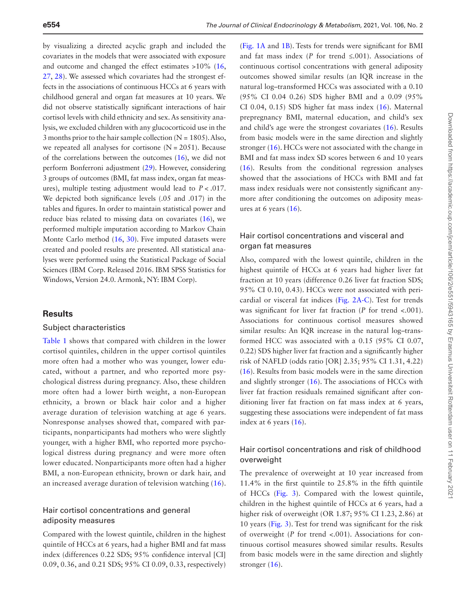by visualizing a directed acyclic graph and included the covariates in the models that were associated with exposure and outcome and changed the effect estimates >10% [\(16](#page-9-15), [27,](#page-10-1) [28](#page-10-2)). We assessed which covariates had the strongest effects in the associations of continuous HCCs at 6 years with childhood general and organ fat measures at 10 years. We did not observe statistically significant interactions of hair cortisol levels with child ethnicity and sex. As sensitivity analysis, we excluded children with any glucocorticoid use in the 3 months prior to the hair sample collection  $(N = 1805)$ . Also, we repeated all analyses for cortisone  $(N = 2051)$ . Because of the correlations between the outcomes [\(16](#page-9-15)), we did not perform Bonferroni adjustment [\(29](#page-10-3)). However, considering 3 groups of outcomes (BMI, fat mass index, organ fat measures), multiple testing adjustment would lead to *P* < .017. We depicted both significance levels (.05 and .017) in the tables and figures. In order to maintain statistical power and reduce bias related to missing data on covariates ([16\)](#page-9-15), we performed multiple imputation according to Markov Chain Monte Carlo method [\(16](#page-9-15), [30\)](#page-10-4). Five imputed datasets were created and pooled results are presented. All statistical analyses were performed using the Statistical Package of Social Sciences (IBM Corp. Released 2016. IBM SPSS Statistics for Windows, Version 24.0. Armonk, NY: IBM Corp).

## **Results**

#### Subject characteristics

[Table 1](#page-4-0) shows that compared with children in the lower cortisol quintiles, children in the upper cortisol quintiles more often had a mother who was younger, lower educated, without a partner, and who reported more psychological distress during pregnancy. Also, these children more often had a lower birth weight, a non-European ethnicity, a brown or black hair color and a higher average duration of television watching at age 6 years. Nonresponse analyses showed that, compared with participants, nonparticipants had mothers who were slightly younger, with a higher BMI, who reported more psychological distress during pregnancy and were more often lower educated. Nonparticipants more often had a higher BMI, a non-European ethnicity, brown or dark hair, and an increased average duration of television watching ([16](#page-9-15)).

## Hair cortisol concentrations and general adiposity measures

Compared with the lowest quintile, children in the highest quintile of HCCs at 6 years, had a higher BMI and fat mass index (differences 0.22 SDS; 95% confidence interval [CI] 0.09, 0.36, and 0.21 SDS; 95% CI 0.09, 0.33, respectively)

([Fig. 1A](#page-6-0) and [1B\)](#page-6-0). Tests for trends were significant for BMI and fat mass index ( $P$  for trend  $\leq$ .001). Associations of continuous cortisol concentrations with general adiposity outcomes showed similar results (an IQR increase in the natural log–transformed HCCs was associated with a 0.10 (95% CI 0.04 0.26) SDS higher BMI and a 0.09 (95% CI 0.04, 0.15) SDS higher fat mass index [\(16\)](#page-9-15). Maternal prepregnancy BMI, maternal education, and child's sex and child's age were the strongest covariates [\(16](#page-9-15)). Results from basic models were in the same direction and slightly stronger ([16](#page-9-15)). HCCs were not associated with the change in BMI and fat mass index SD scores between 6 and 10 years ([16](#page-9-15)). Results from the conditional regression analyses showed that the associations of HCCs with BMI and fat mass index residuals were not consistently significant anymore after conditioning the outcomes on adiposity measures at 6 years  $(16)$  $(16)$  $(16)$ .

## Hair cortisol concentrations and visceral and organ fat measures

Also, compared with the lowest quintile, children in the highest quintile of HCCs at 6 years had higher liver fat fraction at 10 years (difference 0.26 liver fat fraction SDS; 95% CI 0.10, 0.43). HCCs were not associated with pericardial or visceral fat indices ([Fig. 2A-C](#page-6-1)). Test for trends was significant for liver fat fraction (*P* for trend <.001). Associations for continuous cortisol measures showed similar results: An IQR increase in the natural log–transformed HCC was associated with a 0.15 (95% CI 0.07, 0.22) SDS higher liver fat fraction and a significantly higher risk of NAFLD (odds ratio [OR] 2.35; 95% CI 1.31, 4.22) ([16](#page-9-15)). Results from basic models were in the same direction and slightly stronger ([16\)](#page-9-15). The associations of HCCs with liver fat fraction residuals remained significant after conditioning liver fat fraction on fat mass index at 6 years, suggesting these associations were independent of fat mass index at 6 years ([16\)](#page-9-15).

## Hair cortisol concentrations and risk of childhood overweight

The prevalence of overweight at 10 year increased from 11.4% in the first quintile to 25.8% in the fifth quintile of HCCs [\(Fig. 3](#page-7-0)). Compared with the lowest quintile, children in the highest quintile of HCCs at 6 years, had a higher risk of overweight (OR 1.87; 95% CI 1.23, 2.86) at 10 years [\(Fig. 3](#page-7-0)). Test for trend was significant for the risk of overweight (*P* for trend <.001). Associations for continuous cortisol measures showed similar results. Results from basic models were in the same direction and slightly stronger [\(16\)](#page-9-15).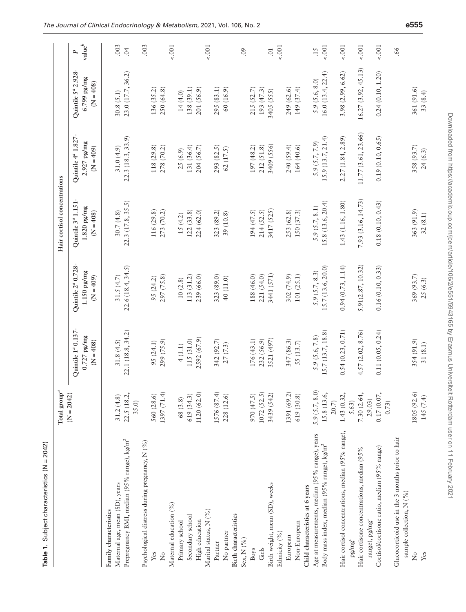<span id="page-4-0"></span>

| Í<br>J<br>۱<br>ı<br>I<br>í<br>j<br>í<br>Ì<br>ׅׅׅ֚֚֚֚֚֚֚֚֚֚֚֚֚֚֚֚֚֚֚֚֚֚֚֚֚֬֡֡֡֡֓֡֡֓֡֡֡֓֡ |  |
|-----------------------------------------------------------------------------------------|--|
| ı                                                                                       |  |

| <b>Table 1.</b> Subject characteristics $(N = 2042)$    |                          |                                                                |                                                                          |                                                              |                                                                |                                                             |                       |
|---------------------------------------------------------|--------------------------|----------------------------------------------------------------|--------------------------------------------------------------------------|--------------------------------------------------------------|----------------------------------------------------------------|-------------------------------------------------------------|-----------------------|
|                                                         | Total group <sup>a</sup> |                                                                |                                                                          | Hair cortisol concentrations                                 |                                                                |                                                             |                       |
|                                                         | $(N = 2042)$             | Quintile 1 <sup>ª</sup> 0.137-<br>$0.727$ pg/mg<br>$(N = 408)$ | Quintile 2 <sup>ª</sup> 0.728-<br>$1.150\,\mathrm{pg/mg}$<br>$(N = 409)$ | Quintile 3 <sup>ª</sup> 1.151-<br>1.820 pg/mg<br>$(N = 408)$ | Quintile 4 <sup>ª</sup> 1.827-<br>$2.927$ pg/mg<br>$(80 + 40)$ | Quintile 5 <sup>ª</sup> 2.928<br>6.799 pg/mg<br>$(N = 408)$ | ${\rm value}^b$<br>P, |
| Family characteristics                                  |                          |                                                                |                                                                          |                                                              |                                                                |                                                             |                       |
| Maternal age, mean (SD), years                          | 31.2(4.8)                | 31.8(4.5)                                                      | 31.5(4.7)                                                                | 30.7(4.8)                                                    | 31.0(4.9)                                                      | 30.8(5.1)                                                   | .003                  |
| Prepregnancy BMI, median (95% range), kg/m <sup>2</sup> | 22.5 (18.2,<br>35.0      | 22.1 (18.8, 34.2)                                              | 22.6(18.4, 34.5)                                                         | 22.3(17.8, 35.5)                                             | 22.3(18.3, 33.9)                                               | 23.0 (17.7, 36.2)                                           | 04                    |
| Psychological distress during pregnancy, N (%)          |                          |                                                                |                                                                          |                                                              |                                                                |                                                             | .003                  |
| Yes                                                     | 560 (28.6)               | 95 (24.1)                                                      | 95(24.2)                                                                 | 116 (29.8)                                                   | 118 (29.8)                                                     | 136(35.2)                                                   |                       |
| ż                                                       | 1397(71.4)               | 299 (75.9)                                                     | 297 (75.8)                                                               | 273 (70.2)                                                   | 278 (70.2)                                                     | 250(64.8)                                                   |                       |
| Maternal education (%)                                  |                          |                                                                |                                                                          |                                                              |                                                                |                                                             | $-.001$               |
| Primary school                                          | 68(3.8)                  | 4(1.1)                                                         | 10(2.8)                                                                  | 15 (4.2)                                                     | 25(6.9)                                                        | 14(4.0)                                                     |                       |
| Secondary school                                        | 619 (34.3)               | 115 (31.0)                                                     | 113 (31.2)                                                               | 122(33.8)                                                    | 131 (36.4)                                                     | 138 (39.1)                                                  |                       |
| High education                                          | 1120(62.0)               | 2592 (67.9)                                                    | 239 (66.0)                                                               | 224 (62.0)                                                   | 204 (56.7)                                                     | 201 (56.9)                                                  |                       |
| Marital status, N (%)                                   |                          |                                                                |                                                                          |                                                              |                                                                |                                                             | $-.001$               |
| Partner                                                 | 1576 (87.4)              | 342 (92.7)                                                     | 323 (89.0)                                                               | 323 (89.2)                                                   | 293 (82.5)                                                     | 295 (83.1)                                                  |                       |
| No partner                                              | 228 (12.6)               | 27(7.3)                                                        | 40 (11.0)                                                                | 39 (10.8)                                                    | 62(17.5)                                                       | 60(16.9)                                                    |                       |
| <b>Birth characteristics</b>                            |                          |                                                                |                                                                          |                                                              |                                                                |                                                             |                       |
| Sex, N (%)                                              |                          |                                                                |                                                                          |                                                              |                                                                |                                                             | .09                   |
| <b>Boys</b>                                             | 970 (47.5)               | 176(43.1)                                                      | 188 (46.0)                                                               | 194 (47.5)                                                   | 197 (48.2)                                                     | 215(52.7)                                                   |                       |
| Girls                                                   | 1072 (52.5)              | 232 (56.9)                                                     | 221 (54.0)                                                               | 214(52.5)                                                    | 212 (51.8)                                                     | 193 (47.3)                                                  |                       |
| Birth weight, mean (SD), weeks                          | 3439 (542)               | 3521 (497)                                                     | 3441 (571)                                                               | 3417 (525)                                                   | 3409 (556)                                                     | 3405 (555)                                                  | $\overline{0}$ .      |
| Ethnicity (%)                                           |                          |                                                                |                                                                          |                                                              |                                                                |                                                             | $-.001$               |
| European                                                | 1391 (69.2)              | 347 (86.3)                                                     | 302(74.9)                                                                | 253 (62.8)                                                   | 240 (59.4)                                                     | 249 (62.6)                                                  |                       |
| Non-European                                            | 619 (30.8)               | 55 (13.7)                                                      | 101(25.1)                                                                | 150 (37.3)                                                   | 164(40.6)                                                      | 149 (37.4)                                                  |                       |
| Child characteristics at 6 years                        |                          |                                                                |                                                                          |                                                              |                                                                |                                                             |                       |
| Age at measurements, median (95% range), years          | 5.9(5.7, 8.0)            | 5.9(5.6, 7.8)                                                  | 5.9(5.7, 8.3)                                                            | 5.9(5.7, 8.1)                                                | 5.9(5.7, 7.9)                                                  | 5.9(5.6, 8.0)                                               | .15                   |
| Body mass index, median (95% range), kg/m <sup>2</sup>  | 15.8 (13.6,<br>20.7)     | 15.7(13.7, 18.8)                                               | 15.7 (13.6, 20.0)                                                        | 15.8(13.6, 20.4)                                             | 15.9(13.7, 21.4)                                               | 16.0(13.4, 22.4)                                            | 5001                  |
| Hair cortisol concentrations, median (95% range),       | 1.43(0.32,               | 0.54(0.23, 0.71)                                               | 0.94(0.73, 1.14)                                                         | 1.43 (1.16, 1.80)                                            | 2.27(1.84, 2.89)                                               | 3.98(2.99, 6.62)                                            | $-.001$               |
| $\mathrm{pg}^{\prime}\mathrm{mg}^{\prime}$              | 5.63)                    |                                                                |                                                                          |                                                              |                                                                |                                                             |                       |
| Hair cortisone concentrations, median (95%              | 7.30 (2.64,              | 4.57(2.02, 8.76)                                               | 5.91(2.87, 10.32)                                                        | 7.93 (3.16, 14.73)                                           | 11.77 (3.61, 23.66)                                            | 16.27(3.92, 45.13)                                          | 5001                  |
| range), pg/mgʻ                                          | 29.03)                   |                                                                |                                                                          |                                                              |                                                                |                                                             |                       |
| Cortisol/cortisone ratio, median (95% range)            | 0.17(0.07,<br>0.73)      | 0.11(0.05, 0.24)                                               | 0.16(0.10, 0.33)                                                         | 0.18(0.10, 0.43)                                             | 0.19(0.10, 0.65)                                               | 0.24(0.10, 1.20)                                            | $-.001$               |
| Glucocorticoid use in the 3 months prior to hair        |                          |                                                                |                                                                          |                                                              |                                                                |                                                             | 99.                   |
| sample collection, N (%)                                |                          |                                                                |                                                                          |                                                              |                                                                |                                                             |                       |
| ż                                                       | 1805 (92.6)              | 354 (91.9)                                                     | 369 (93.7)                                                               | 363 (91.9)                                                   | 358 (93.7)                                                     | 361 (91.6)                                                  |                       |
| Yes                                                     | 145(7.4)                 | 31 (8.1)                                                       | 25(6.3)                                                                  | 32(8.1)                                                      | 24(6.3)                                                        | 33 (8.4)                                                    |                       |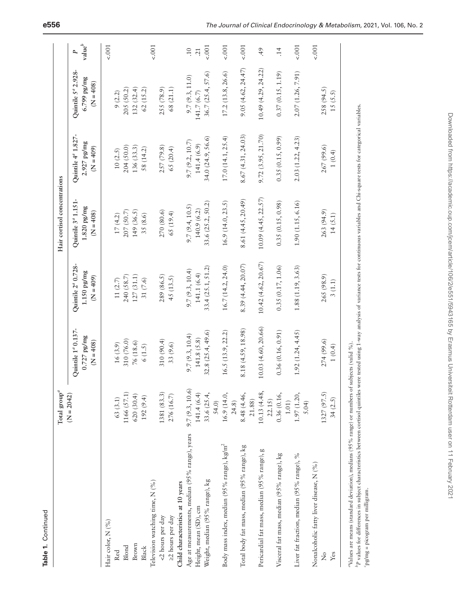|                                                        | $\text{Total group}^a$ |                                                                |                                                                | Hair cortisol concentrations                                   |                                                                |                                                              |                         |
|--------------------------------------------------------|------------------------|----------------------------------------------------------------|----------------------------------------------------------------|----------------------------------------------------------------|----------------------------------------------------------------|--------------------------------------------------------------|-------------------------|
|                                                        | $(N = 2042)$           | Quintile 1 <sup>ª</sup> 0.137-<br>$0.727$ pg/mg<br>$(N = 408)$ | Quintile 2 <sup>ª</sup> 0.728-<br>$1.150$ pg/mg<br>$(N = 409)$ | Quintile 3 <sup>ª</sup> 1.151-<br>$1.820$ pg/mg<br>$(N = 408)$ | Quintile 4 <sup>ª</sup> 1.827-<br>$2.927$ pg/mg<br>$(N = 409)$ | Quintile 5 <sup>ª</sup> 2.928-<br>6.799 pg/mg<br>$(N = 408)$ | value <sup>b</sup><br>P |
| Hair color, N (%)                                      |                        |                                                                |                                                                |                                                                |                                                                |                                                              | $-.001$                 |
| Red                                                    | 63(3.1)                | 16(3.9)                                                        | 11 $(2.7)$                                                     | 17(4.2)                                                        | 10(2.5)                                                        | 9(2.2)                                                       |                         |
| Blond                                                  | 1166 (57.1)            | 310 (76.0)                                                     | 240 (58.7)                                                     | 207 (50.7)                                                     | 204 (50.0)                                                     | 205 (50.2)                                                   |                         |
| Brown                                                  | 620(30.4)              | 76 (18.6)                                                      | 127(31.1)                                                      | 149 (36.5)                                                     | 136(33.3)                                                      | 132(32.4)                                                    |                         |
| Black                                                  | 192(9.4)               | 6(1.5)                                                         | 31 (7.6)                                                       | 35 (8.6)                                                       | 58 (14.2)                                                      | 62(15.2)                                                     |                         |
| Television watching time, N (%)                        |                        |                                                                |                                                                |                                                                |                                                                |                                                              | 5001                    |
| <2 hours per day                                       | 1381 (83.3)            | 310(90.4)                                                      | 289 (86.5)                                                     | 270 (80.6)                                                     | 257 (79.8)                                                     | 255 (78.9)                                                   |                         |
| >2 hours per day                                       | 276 (16.7)             | 33 (9.6)                                                       | 45 (13.5)                                                      | 65 (19.4)                                                      | 65(20.4)                                                       | 68 (21.1)                                                    |                         |
| Child characteristics at 10 years                      |                        |                                                                |                                                                |                                                                |                                                                |                                                              |                         |
| Age at measurements, median (95% range), years         | 9.7(9.3, 10.6)         | 9.7(9.3, 10.4)                                                 | 9.7(9.3, 10.4)                                                 | 9.7(9.4, 10.5)                                                 | 9.7(9.2, 10.7)                                                 | 9.7(9.3, 11.0)                                               | $\overline{0}$          |
| Height, mean (SD), cm                                  | 141.4 (6.4)            | 141.8 (5.8)                                                    | 141.1 (6.4)                                                    | 140.9(6.2)                                                     | 141.4(6.9)                                                     | 141.7(6.7)                                                   | 21                      |
| Weight, median (95% range), kg                         | 33.6 (25.4,            | 32.8(25.4, 49.6)                                               | 33.4(25.1, 51.2)                                               | 33.6 (25.2, 50.2)                                              | 34.0(24.9, 56.6)                                               | 36.7(25.4, 57.6)                                             | 5001                    |
|                                                        | 54.0)                  |                                                                |                                                                |                                                                |                                                                |                                                              |                         |
| Body mass index, median (95% range), kg/m <sup>2</sup> | 16.9(14.0,<br>24.8)    | 16.5(13.9, 22.2)                                               | 16.7(14.2, 24.0)                                               | 16.9(14.0, 23.5)                                               | 17.0(14.1, 25.4)                                               | 17.2(13.8, 26.6)                                             | $-.001$                 |
|                                                        |                        |                                                                |                                                                |                                                                |                                                                |                                                              |                         |
| Total body fat mass, median (95% range), kg            | 8.48 (4.46,<br>21.88)  | 8.18 (4.59, 18.98)                                             | 8.39(4.44, 20.07)                                              | 8.61 (4.45, 20.49)                                             | 8.67(4.31, 24.03)                                              | 9.05(4.62, 24.47)                                            | 5001                    |
| Pericardial fat mass, median (95% range), g            | 10.13 (4.48,<br>22.15) | 10.03(4.60, 20.66)                                             | $10.42$ (4.62, 20.67)                                          | 10.09(4.45, 22.57)                                             | 9.72 (3.95, 21.70)                                             | 10.49(4.29, 24.22)                                           | 49                      |
| Visceral fat mass, median (95% range), kg              | 0.36(0.16,<br>1.01)    | 0.36(0.16, 0.91)                                               | 0.35(0.17, 1.06)                                               | 0.35(0.15, 0.98)                                               | 0.35(0.15, 0.99)                                               | 0.37(0.15, 1.19)                                             | $\ddot{1}4$             |
| Liver fat fraction, median (95% range), %              | 1.97(1.20,<br>5.04)    | 1.92(1.24, 4.45)                                               | 1.88 (1.19, 3.63)                                              | 1.90(1.15, 6.16)                                               | 2.03(1.22, 4.23)                                               | 2.07(1.26, 7.91)                                             | 5001                    |
| Nonalcoholic fatty liver disease, N (%)                |                        |                                                                |                                                                |                                                                |                                                                |                                                              | $\epsilon$ .001         |
| ż                                                      | 1327 (97.5)            | 274 (99.6)                                                     | 265 (98.9)                                                     | 263 (94.9)                                                     | 267 (99.6)                                                     | 258 (94.5)                                                   |                         |
| Yes                                                    | 34(2.5)                | 1(0.4)                                                         | 3(1.1)                                                         | 14(5.1)                                                        | 1(0.4)                                                         | 15(5.5)                                                      |                         |
| $\overline{a}$                                         |                        | $\ell$ is a set of $\ell$ is a set of $\ell$                   |                                                                |                                                                |                                                                |                                                              |                         |

Values are means (standard deviation), medians (95% range) or numbers of subjects (valid %). *a*Values are means (standard deviation), medians (95% range) or numbers of subjects (valid %).

<sup>b</sup>P values for differences in subject characteristics between cortisol quintiles were tested using 1-way analysis of variance tests for continuous variables and Chi-square tests for categorical variables. *PP* values for differences in subject characteristics between cortisol quintiles were tested using 1-way analysis of variance tests for continuous variables and Chi-square tests for categorical variables. 'pg/mg = picogram per milligram. *c*pg/mg = picogram per milligram.

**Table 1.** Continued

Table 1. Continued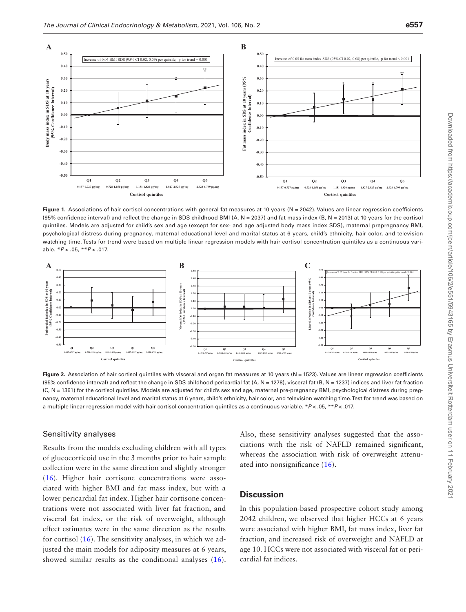

<span id="page-6-0"></span>Figure 1. Associations of hair cortisol concentrations with general fat measures at 10 years (N = 2042). Values are linear regression coefficients (95% confidence interval) and reflect the change in SDS childhood BMI (A,  $N = 2037$ ) and fat mass index (B,  $N = 2013$ ) at 10 years for the cortisol quintiles. Models are adjusted for child's sex and age (except for sex- and age adjusted body mass index SDS), maternal prepregnancy BMI, psychological distress during pregnancy, maternal educational level and marital status at 6 years, child's ethnicity, hair color, and television watching time. Tests for trend were based on multiple linear regression models with hair cortisol concentration quintiles as a continuous variable. \**P* < .05, \*\**P* < .017.



<span id="page-6-1"></span>Figure 2. Association of hair cortisol quintiles with visceral and organ fat measures at 10 years (N = 1523). Values are linear regression coefficients (95% confidence interval) and reflect the change in SDS childhood pericardial fat (A, N = 1278), visceral fat (B, N = 1237) indices and liver fat fraction (C, N = 1361) for the cortisol quintiles. Models are adjusted for child's sex and age, maternal pre-pregnancy BMI, psychological distress during pregnancy, maternal educational level and marital status at 6 years, child's ethnicity, hair color, and television watching time. Test for trend was based on a multiple linear regression model with hair cortisol concentration quintiles as a continuous variable. \**P* < .05, \*\**P* < .017.

#### Sensitivity analyses

Results from the models excluding children with all types of glucocorticoid use in the 3 months prior to hair sample collection were in the same direction and slightly stronger ([16](#page-9-15)). Higher hair cortisone concentrations were associated with higher BMI and fat mass index, but with a lower pericardial fat index. Higher hair cortisone concentrations were not associated with liver fat fraction, and visceral fat index, or the risk of overweight, although effect estimates were in the same direction as the results for cortisol ([16](#page-9-15)). The sensitivity analyses, in which we adjusted the main models for adiposity measures at 6 years, showed similar results as the conditional analyses ([16](#page-9-15)). Also, these sensitivity analyses suggested that the associations with the risk of NAFLD remained significant, whereas the association with risk of overweight attenuated into nonsignificance ([16](#page-9-15)).

## **Discussion**

In this population-based prospective cohort study among 2042 children, we observed that higher HCCs at 6 years were associated with higher BMI, fat mass index, liver fat fraction, and increased risk of overweight and NAFLD at age 10. HCCs were not associated with visceral fat or pericardial fat indices.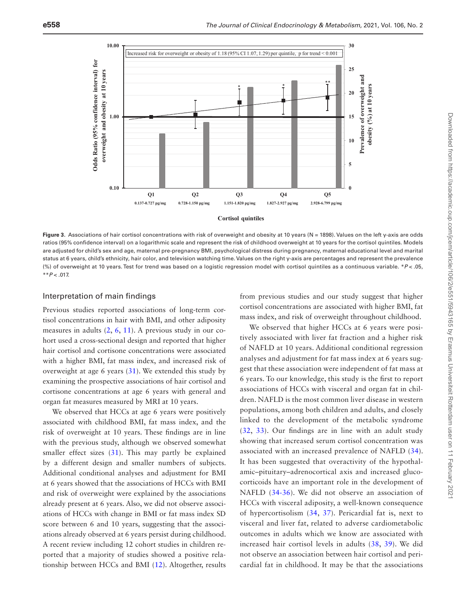

<span id="page-7-0"></span>Figure 3. Associations of hair cortisol concentrations with risk of overweight and obesity at 10 years (N = 1898). Values on the left y-axis are odds ratios (95% confidence interval) on a logarithmic scale and represent the risk of childhood overweight at 10 years for the cortisol quintiles. Models are adjusted for child's sex and age, maternal pre-pregnancy BMI, psychological distress during pregnancy, maternal educational level and marital status at 6 years, child's ethnicity, hair color, and television watching time. Values on the right y-axis are percentages and represent the prevalence (%) of overweight at 10 years. Test for trend was based on a logistic regression model with cortisol quintiles as a continuous variable. \**P* < .05, \*\**P* < .017.

#### Interpretation of main findings

Previous studies reported associations of long-term cortisol concentrations in hair with BMI, and other adiposity measures in adults [\(2](#page-9-1), [6,](#page-9-5) [11\)](#page-9-10). A previous study in our cohort used a cross-sectional design and reported that higher hair cortisol and cortisone concentrations were associated with a higher BMI, fat mass index, and increased risk of overweight at age 6 years  $(31)$  $(31)$  $(31)$ . We extended this study by examining the prospective associations of hair cortisol and cortisone concentrations at age 6 years with general and organ fat measures measured by MRI at 10 years.

We observed that HCCs at age 6 years were positively associated with childhood BMI, fat mass index, and the risk of overweight at 10 years. These findings are in line with the previous study, although we observed somewhat smaller effect sizes ([31\)](#page-10-5). This may partly be explained by a different design and smaller numbers of subjects. Additional conditional analyses and adjustment for BMI at 6 years showed that the associations of HCCs with BMI and risk of overweight were explained by the associations already present at 6 years. Also, we did not observe associations of HCCs with change in BMI or fat mass index SD score between 6 and 10 years, suggesting that the associations already observed at 6 years persist during childhood. A recent review including 12 cohort studies in children reported that a majority of studies showed a positive relationship between HCCs and BMI ([12\)](#page-9-11). Altogether, results

from previous studies and our study suggest that higher cortisol concentrations are associated with higher BMI, fat mass index, and risk of overweight throughout childhood.

We observed that higher HCCs at 6 years were positively associated with liver fat fraction and a higher risk of NAFLD at 10 years. Additional conditional regression analyses and adjustment for fat mass index at 6 years suggest that these association were independent of fat mass at 6 years. To our knowledge, this study is the first to report associations of HCCs with visceral and organ fat in children. NAFLD is the most common liver disease in western populations, among both children and adults, and closely linked to the development of the metabolic syndrome ([32](#page-10-6), [33\)](#page-10-7). Our findings are in line with an adult study showing that increased serum cortisol concentration was associated with an increased prevalence of NAFLD ([34](#page-10-8)). It has been suggested that overactivity of the hypothalamic–pituitary–adrenocortical axis and increased glucocorticoids have an important role in the development of NAFLD ([34-](#page-10-8)[36](#page-10-9)). We did not observe an association of HCCs with visceral adiposity, a well-known consequence of hypercortisolism [\(34,](#page-10-8) [37](#page-10-10)). Pericardial fat is, next to visceral and liver fat, related to adverse cardiometabolic outcomes in adults which we know are associated with increased hair cortisol levels in adults ([38,](#page-10-11) [39](#page-10-12)). We did not observe an association between hair cortisol and pericardial fat in childhood. It may be that the associations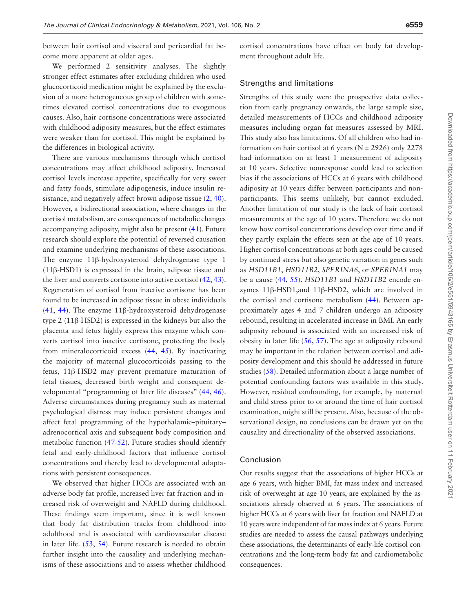between hair cortisol and visceral and pericardial fat become more apparent at older ages.

We performed 2 sensitivity analyses. The slightly stronger effect estimates after excluding children who used glucocorticoid medication might be explained by the exclusion of a more heterogeneous group of children with sometimes elevated cortisol concentrations due to exogenous causes. Also, hair cortisone concentrations were associated with childhood adiposity measures, but the effect estimates were weaker than for cortisol. This might be explained by the differences in biological activity.

There are various mechanisms through which cortisol concentrations may affect childhood adiposity. Increased cortisol levels increase appetite, specifically for very sweet and fatty foods, stimulate adipogenesis, induce insulin resistance, and negatively affect brown adipose tissue  $(2, 40)$  $(2, 40)$  $(2, 40)$  $(2, 40)$ . However, a bidirectional association, where changes in the cortisol metabolism, are consequences of metabolic changes accompanying adiposity, might also be present [\(41\)](#page-10-14). Future research should explore the potential of reversed causation and examine underlying mechanisms of these associations. The enzyme 11β-hydroxysteroid dehydrogenase type 1 (11β-HSD1) is expressed in the brain, adipose tissue and the liver and converts cortisone into active cortisol [\(42,](#page-10-15) [43](#page-10-16)). Regeneration of cortisol from inactive cortisone has been found to be increased in adipose tissue in obese individuals ([41](#page-10-14), [44](#page-10-17)). The enzyme 11β-hydroxysteroid dehydrogenase type 2 (11β-HSD2) is expressed in the kidneys but also the placenta and fetus highly express this enzyme which converts cortisol into inactive cortisone, protecting the body from mineralocorticoid excess [\(44](#page-10-17), [45](#page-10-18)). By inactivating the majority of maternal glucocorticoids passing to the fetus, 11β-HSD2 may prevent premature maturation of fetal tissues, decreased birth weight and consequent developmental "programming of later life diseases" ([44,](#page-10-17) [46](#page-10-19)). Adverse circumstances during pregnancy such as maternal psychological distress may induce persistent changes and affect fetal programming of the hypothalamic–pituitary– adrenocortical axis and subsequent body composition and metabolic function [\(47-](#page-10-20)[52](#page-10-21)). Future studies should identify fetal and early-childhood factors that influence cortisol concentrations and thereby lead to developmental adaptations with persistent consequences.

We observed that higher HCCs are associated with an adverse body fat profile, increased liver fat fraction and increased risk of overweight and NAFLD during childhood. These findings seem important, since it is well known that body fat distribution tracks from childhood into adulthood and is associated with cardiovascular disease in later life. ([53,](#page-10-22) [54](#page-10-23)). Future research is needed to obtain further insight into the causality and underlying mechanisms of these associations and to assess whether childhood

cortisol concentrations have effect on body fat development throughout adult life.

#### Strengths and limitations

Strengths of this study were the prospective data collection from early pregnancy onwards, the large sample size, detailed measurements of HCCs and childhood adiposity measures including organ fat measures assessed by MRI. This study also has limitations. Of all children who had information on hair cortisol at 6 years ( $N = 2926$ ) only 2278 had information on at least 1 measurement of adiposity at 10 years. Selective nonresponse could lead to selection bias if the associations of HCCs at 6 years with childhood adiposity at 10 years differ between participants and nonparticipants. This seems unlikely, but cannot excluded. Another limitation of our study is the lack of hair cortisol measurements at the age of 10 years. Therefore we do not know how cortisol concentrations develop over time and if they partly explain the effects seen at the age of 10 years. Higher cortisol concentrations at both ages could be caused by continued stress but also genetic variation in genes such as *HSD11B1*, *HSD11B2*, *SPERINA6*, or *SPERINA1* may be a cause ([44](#page-10-17), [55\)](#page-10-24). *HSD11B1* and *HSD11B2* encode enzymes 11β-HSD1,and 11β-HSD2, which are involved in the cortisol and cortisone metabolism [\(44\)](#page-10-17). Between approximately ages 4 and 7 children undergo an adiposity rebound, resulting in accelerated increase in BMI. An early adiposity rebound is associated with an increased risk of obesity in later life [\(56](#page-10-25), [57](#page-10-26)). The age at adiposity rebound may be important in the relation between cortisol and adiposity development and this should be addressed in future studies ([58\)](#page-10-27). Detailed information about a large number of potential confounding factors was available in this study. However, residual confounding, for example, by maternal and child stress prior to or around the time of hair cortisol examination, might still be present. Also, because of the observational design, no conclusions can be drawn yet on the causality and directionality of the observed associations.

## Conclusion

Our results suggest that the associations of higher HCCs at age 6 years, with higher BMI, fat mass index and increased risk of overweight at age 10 years, are explained by the associations already observed at 6 years. The associations of higher HCCs at 6 years with liver fat fraction and NAFLD at 10 years were independent of fat mass index at 6 years. Future studies are needed to assess the causal pathways underlying these associations, the determinants of early-life cortisol concentrations and the long-term body fat and cardiometabolic consequences.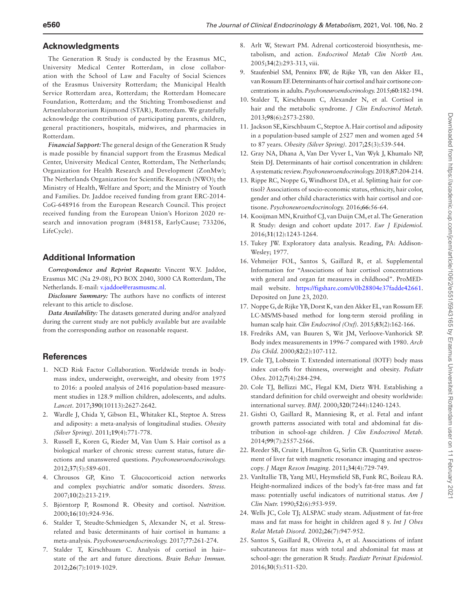### **Acknowledgments**

The Generation R Study is conducted by the Erasmus MC, University Medical Center Rotterdam, in close collaboration with the School of Law and Faculty of Social Sciences of the Erasmus University Rotterdam; the Municipal Health Service Rotterdam area, Rotterdam; the Rotterdam Homecare Foundation, Rotterdam; and the Stichting Trombosedienst and Artsenlaboratorium Rijnmond (STAR), Rotterdam. We gratefully acknowledge the contribution of participating parents, children, general practitioners, hospitals, midwives, and pharmacies in Rotterdam.

*Financial Support:* The general design of the Generation R Study is made possible by financial support from the Erasmus Medical Center, University Medical Center, Rotterdam, The Netherlands; Organization for Health Research and Development (ZonMw); The Netherlands Organization for Scientific Research (NWO); the Ministry of Health, Welfare and Sport; and the Ministry of Youth and Families. Dr. Jaddoe received funding from grant ERC-2014- CoG-648916 from the European Research Council. This project received funding from the European Union's Horizon 2020 research and innovation program (848158, EarlyCause; 733206, LifeCycle).

## **Additional Information**

*Correspondence and Reprint Requests***:** Vincent W.V. Jaddoe, Erasmus MC (Na 29-08), PO BOX 2040, 3000 CA Rotterdam, The Netherlands. E-mail: [v.jaddoe@erasmusmc.nl](mailto:v.jaddoe@erasmusmc.nl?subject=).

*Disclosure Summary:* The authors have no conflicts of interest relevant to this article to disclose.

*Data Availability:* The datasets generated during and/or analyzed during the current study are not publicly available but are available from the corresponding author on reasonable request.

## **References**

- <span id="page-9-0"></span>1. NCD Risk Factor Collaboration. Worldwide trends in bodymass index, underweight, overweight, and obesity from 1975 to 2016: a pooled analysis of 2416 population-based measurement studies in 128.9 million children, adolescents, and adults. *Lancet.* 2017;**390**(10113):2627-2642.
- <span id="page-9-1"></span>2. Wardle J, Chida Y, Gibson EL, Whitaker KL, Steptoe A. Stress and adiposity: a meta-analysis of longitudinal studies. *Obesity (Silver Spring).* 2011;**19**(4):771-778.
- <span id="page-9-2"></span>3. Russell E, Koren G, Rieder M, Van Uum S. Hair cortisol as a biological marker of chronic stress: current status, future directions and unanswered questions. *Psychoneuroendocrinology.* 2012;**37**(5):589-601.
- <span id="page-9-3"></span>4. Chrousos GP, Kino T. Glucocorticoid action networks and complex psychiatric and/or somatic disorders. *Stress.* 2007;**10**(2):213-219.
- <span id="page-9-4"></span>5. Björntorp P, Rosmond R. Obesity and cortisol. *Nutrition.* 2000;**16**(10):924-936.
- <span id="page-9-5"></span>6. Stalder T, Steudte-Schmiedgen S, Alexander N, et al. Stressrelated and basic determinants of hair cortisol in humans: a meta-analysis. *Psychoneuroendocrinology.* 2017;**77**:261-274.
- <span id="page-9-6"></span>7. Stalder T, Kirschbaum C. Analysis of cortisol in hair– state of the art and future directions. *Brain Behav Immun.* 2012;**26**(7):1019-1029.
- <span id="page-9-7"></span>8. Arlt W, Stewart PM. Adrenal corticosteroid biosynthesis, metabolism, and action. *Endocrinol Metab Clin North Am.* 2005;**34**(2):293-313, viii.
- <span id="page-9-8"></span>9. Staufenbiel SM, Penninx BW, de Rijke YB, van den Akker EL, van Rossum EF. Determinants of hair cortisol and hair cortisone concentrations in adults. *Psychoneuroendocrinology.* 2015;**60**:182-194.
- <span id="page-9-9"></span>10. Stalder T, Kirschbaum C, Alexander N, et al. Cortisol in hair and the metabolic syndrome. *J Clin Endocrinol Metab.* 2013;**98**(6):2573-2580.
- <span id="page-9-10"></span>11. Jackson SE, Kirschbaum C, Steptoe A. Hair cortisol and adiposity in a population-based sample of 2527 men and women aged 54 to 87 years. *Obesity (Silver Spring).* 2017;**25**(3):539-544.
- <span id="page-9-11"></span>12. Gray NA, Dhana A, Van Der Vyver L, Van Wyk J, Khumalo NP, Stein DJ. Determinants of hair cortisol concentration in children: A systematic review. *Psychoneuroendocrinology.* 2018;**87**:204-214.
- <span id="page-9-12"></span>13. Rippe RC, Noppe G, Windhorst DA, et al. Splitting hair for cortisol? Associations of socio-economic status, ethnicity, hair color, gender and other child characteristics with hair cortisol and cortisone. *Psychoneuroendocrinology.* 2016;**66**:56-64.
- <span id="page-9-13"></span>14. Kooijman MN, Kruithof CJ, van Duijn CM, et al. The Generation R Study: design and cohort update 2017. *Eur J Epidemiol.* 2016;**31**(12):1243-1264.
- <span id="page-9-14"></span>15. Tukey JW. Exploratory data analysis. Reading, PA: Addison-Wesley; 1977.
- <span id="page-9-15"></span>16. Vehmeijer FOL, Santos S, Gaillard R, et al. Supplemental Information for "Associations of hair cortisol concentrations with general and organ fat measures in childhood". ProMEDmail website. [https://figshare.com/s/0b28804e37fadde42661.](https://figshare.com/s/0b28804e37fadde42661) Deposited on June 23, 2020.
- <span id="page-9-16"></span>17. Noppe G, de Rijke YB, Dorst K, van den Akker EL, van Rossum EF. LC-MS/MS-based method for long-term steroid profiling in human scalp hair. *Clin Endocrinol (Oxf).* 2015;**83**(2):162-166.
- <span id="page-9-17"></span>18. Fredriks AM, van Buuren S, Wit JM, Verloove-Vanhorick SP. Body index measurements in 1996-7 compared with 1980. *Arch Dis Child.* 2000;**82**(2):107-112.
- <span id="page-9-18"></span>19. Cole TJ, Lobstein T. Extended international (IOTF) body mass index cut-offs for thinness, overweight and obesity. *Pediatr Obes.* 2012;**7**(4):284-294.
- <span id="page-9-19"></span>20. Cole TJ, Bellizzi MC, Flegal KM, Dietz WH. Establishing a standard definition for child overweight and obesity worldwide: international survey. *BMJ.* 2000;**320**(7244):1240-1243.
- <span id="page-9-20"></span>21. Gishti O, Gaillard R, Manniesing R, et al. Fetal and infant growth patterns associated with total and abdominal fat distribution in school-age children. *J Clin Endocrinol Metab.* 2014;**99**(7):2557-2566.
- <span id="page-9-21"></span>22. Reeder SB, Cruite I, Hamilton G, Sirlin CB. Quantitative assessment of liver fat with magnetic resonance imaging and spectroscopy. *J Magn Reson Imaging.* 2011;**34**(4):729-749.
- <span id="page-9-22"></span>23. VanItallie TB, Yang MU, Heymsfield SB, Funk RC, Boileau RA. Height-normalized indices of the body's fat-free mass and fat mass: potentially useful indicators of nutritional status. *Am J Clin Nutr.* 1990;**52**(6):953-959.
- 24. Wells JC, Cole TJ; ALSPAC study steam. Adjustment of fat-free mass and fat mass for height in children aged 8 y. *Int J Obes Relat Metab Disord.* 2002;**26**(7):947-952.
- <span id="page-9-23"></span>25. Santos S, Gaillard R, Oliveira A, et al. Associations of infant subcutaneous fat mass with total and abdominal fat mass at school-age: the generation R Study. *Paediatr Perinat Epidemiol.* 2016;**30**(5):511-520.